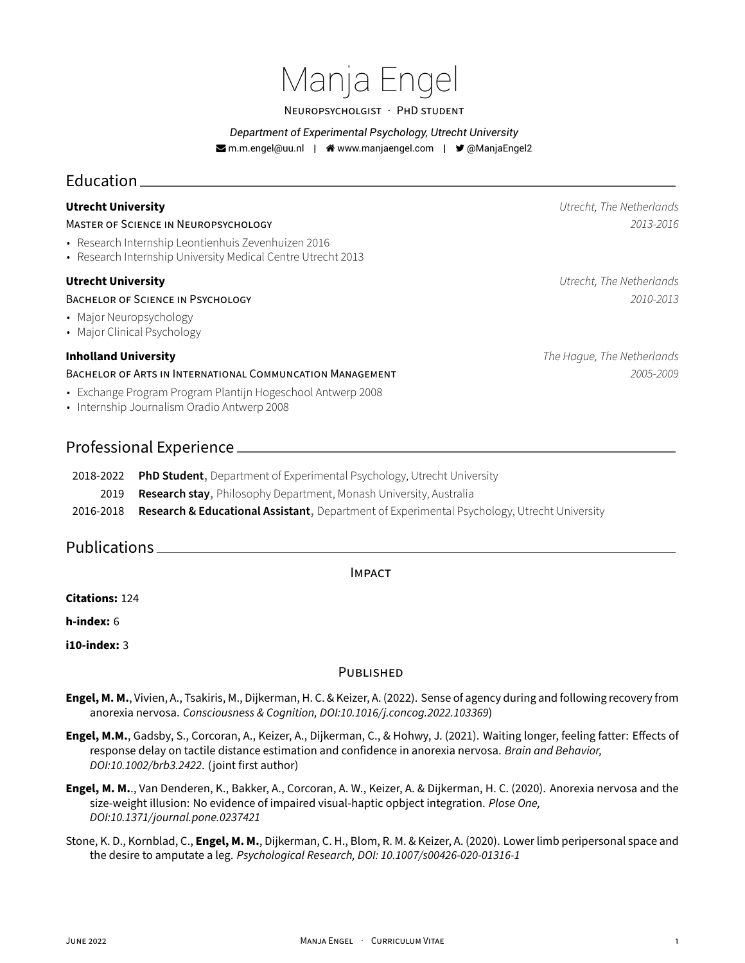# Manja Engel

#### NEUROPSYCHOLGiST · PHD STUDENT

*Department of Experimental Psychology, Utrecht University*

**Mrandel@uu.nl | A www.manjaengel.com | → @ManjaEngel2** 

# Education

MASTER OF SCiENCE iN NEUROPSYCHOLOGY *2013‑2016*

- Research Internship Leontienhuis Zevenhuizen 2016
- Research Internship University Medical Centre Utrecht 2013

### BACHELOR OF SCiENCE iN PSYCHOLOGY *2010‑2013*

- Major Neuropsychology
- Major Clinical Psychology

#### BACHELOR OF ARTS iN INTERNATiONAL COMMUNCATiON MANAGEMENT *2005‑2009*

- Exchange Program Program Plantijn Hogeschool Antwerp 2008
- Internship Journalism Oradio Antwerp 2008

# Professional Experience

- 2018-2022 PhD Student, Department of Experimental Psychology, Utrecht University
- 2019 **Research stay**, Philosophy Department, Monash University, Australia
- 2016‑2018 **Research & Educational Assistant**, Department of Experimental Psychology, Utrecht University

# Publications

#### IMPACT

**Citations:** 124

**h‑index:** 6

**i10‑index:** 3

#### PUBLiSHED

- **Engel, M. M.**, Vivien, A., Tsakiris, M., Dijkerman, H. C. & Keizer, A. (2022). Sense of agency during and following recovery from anorexia nervosa. *Consciousness & Cognition, DOI:10.1016/j.concog.2022.103369*)
- **Engel, M.M.**, Gadsby, S., Corcoran, A., Keizer, A., Dijkerman, C., & Hohwy, J. (2021). Waiting longer, feeling fatter: Effects of response delay on tactile distance estimation and confidence in anorexia nervosa. *Brain and Behavior, DOI:10.1002/brb3.2422*. (joint first author)
- **Engel, M. M.**., Van Denderen, K., Bakker, A., Corcoran, A. W., Keizer, A. & Dijkerman, H. C. (2020). Anorexia nervosa and the size‑weight illusion: No evidence of impaired visual‑haptic opbject integration. *Plose One, DOI:10.1371/journal.pone.0237421*
- Stone, K. D., Kornblad, C., **Engel, M. M.**, Dijkerman, C. H., Blom, R. M. & Keizer, A. (2020). Lower limb peripersonal space and the desire to amputate a leg. *Psychological Research, DOI: 10.1007/s00426‑020‑01316‑1*

**Utrecht University** *Utrecht, The Netherlands*

**Utrecht University** *Utrecht, The Netherlands*

**Inholland University** *The Hague, The Netherlands*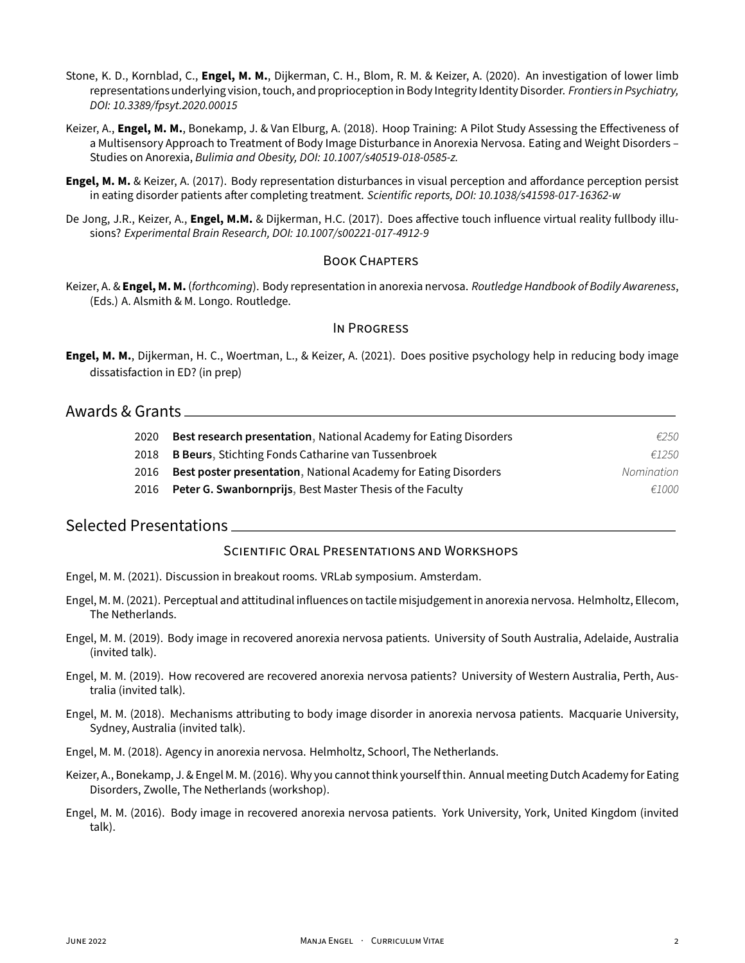- Stone, K. D., Kornblad, C., **Engel, M. M.**, Dijkerman, C. H., Blom, R. M. & Keizer, A. (2020). An investigation of lower limb representations underlying vision, touch, and proprioception in Body Integrity Identity Disorder. *Frontiers in Psychiatry, DOI: 10.3389/fpsyt.2020.00015*
- Keizer, A., **Engel, M. M.**, Bonekamp, J. & Van Elburg, A. (2018). Hoop Training: A Pilot Study Assessing the Effectiveness of a Multisensory Approach to Treatment of Body Image Disturbance in Anorexia Nervosa. Eating and Weight Disorders – Studies on Anorexia, *Bulimia and Obesity, DOI: 10.1007/s40519‑018‑0585‑z.*
- **Engel, M. M.** & Keizer, A. (2017). Body representation disturbances in visual perception and affordance perception persist in eating disorder patients after completing treatment. *Scientific reports, DOI: 10.1038/s41598‑017‑16362‑w*
- De Jong, J.R., Keizer, A., **Engel, M.M.** & Dijkerman, H.C. (2017). Does affective touch influence virtual reality fullbody illusions? *Experimental Brain Research, DOI: 10.1007/s00221‑017‑4912‑9*

#### BOOK CHAPTERS

Keizer, A. & **Engel, M. M.** (*forthcoming*). Body representation in anorexia nervosa. *Routledge Handbook of Bodily Awareness*, (Eds.) A. Alsmith & M. Longo. Routledge.

#### IN PROGRESS

**Engel, M. M.**, Dijkerman, H. C., Woertman, L., & Keizer, A. (2021). Does positive psychology help in reducing body image dissatisfaction in ED? (in prep)

### Awards & Grants

| 2020 | Best research presentation, National Academy for Eating Disorders      | €250       |
|------|------------------------------------------------------------------------|------------|
| 2018 | B Beurs, Stichting Fonds Catharine van Tussenbroek                     | £1250      |
| 2016 | <b>Best poster presentation, National Academy for Eating Disorders</b> | Nomination |
| 2016 | <b>Peter G. Swanbornprijs, Best Master Thesis of the Faculty</b>       | €1000      |
|      |                                                                        |            |

## Selected Presentations

#### SCiENTiFiC ORAL PRESENTATiONS AND WORKSHOPS

- Engel, M. M. (2021). Discussion in breakout rooms. VRLab symposium. Amsterdam.
- Engel, M. M. (2021). Perceptual and attitudinal influences on tactile misjudgement in anorexia nervosa. Helmholtz, Ellecom, The Netherlands.
- Engel, M. M. (2019). Body image in recovered anorexia nervosa patients. University of South Australia, Adelaide, Australia (invited talk).
- Engel, M. M. (2019). How recovered are recovered anorexia nervosa patients? University of Western Australia, Perth, Aus‑ tralia (invited talk).
- Engel, M. M. (2018). Mechanisms attributing to body image disorder in anorexia nervosa patients. Macquarie University, Sydney, Australia (invited talk).

Engel, M. M. (2018). Agency in anorexia nervosa. Helmholtz, Schoorl, The Netherlands.

- Keizer, A., Bonekamp, J. & Engel M. M. (2016). Why you cannot think yourself thin. Annual meeting Dutch Academy for Eating Disorders, Zwolle, The Netherlands (workshop).
- Engel, M. M. (2016). Body image in recovered anorexia nervosa patients. York University, York, United Kingdom (invited talk).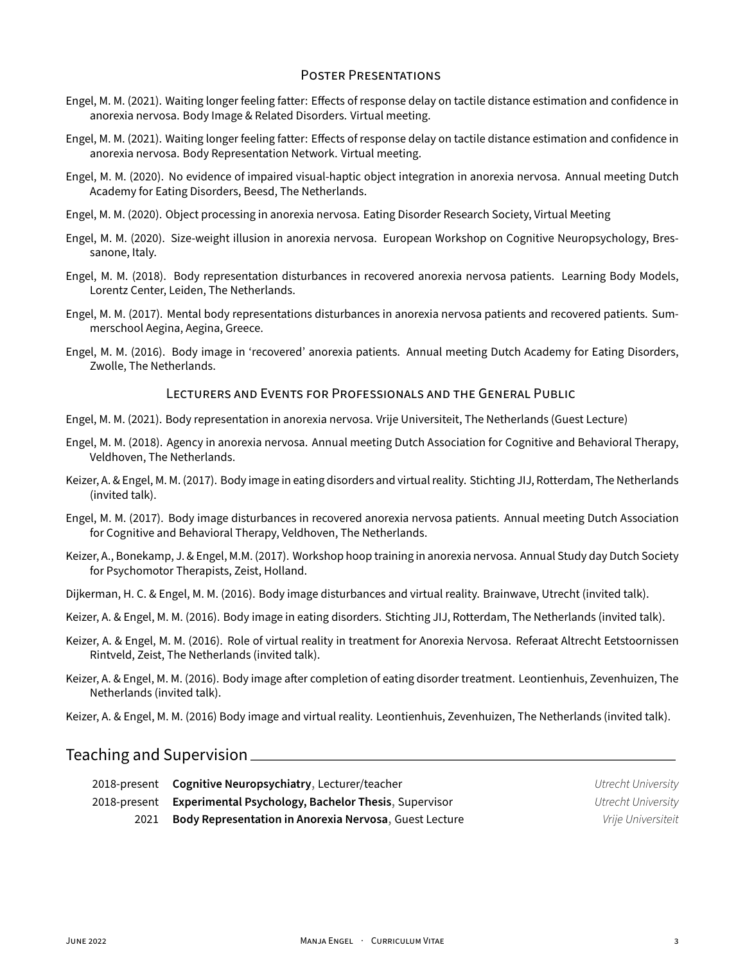### POSTER PRESENTATiONS

- Engel, M. M. (2021). Waiting longer feeling fatter: Effects of response delay on tactile distance estimation and confidence in anorexia nervosa. Body Image & Related Disorders. Virtual meeting.
- Engel, M. M. (2021). Waiting longer feeling fatter: Effects of response delay on tactile distance estimation and confidence in anorexia nervosa. Body Representation Network. Virtual meeting.
- Engel, M. M. (2020). No evidence of impaired visual‑haptic object integration in anorexia nervosa. Annual meeting Dutch Academy for Eating Disorders, Beesd, The Netherlands.
- Engel, M. M. (2020). Object processing in anorexia nervosa. Eating Disorder Research Society, Virtual Meeting
- Engel, M. M. (2020). Size-weight illusion in anorexia nervosa. European Workshop on Cognitive Neuropsychology, Bressanone, Italy.
- Engel, M. M. (2018). Body representation disturbances in recovered anorexia nervosa patients. Learning Body Models, Lorentz Center, Leiden, The Netherlands.
- Engel, M. M. (2017). Mental body representations disturbances in anorexia nervosa patients and recovered patients. Sum‑ merschool Aegina, Aegina, Greece.
- Engel, M. M. (2016). Body image in 'recovered' anorexia patients. Annual meeting Dutch Academy for Eating Disorders, Zwolle, The Netherlands.

#### LECTURERS AND EVENTS FOR PROFESSiONALS AND THE GENERAL PUBLiC

- Engel, M. M. (2021). Body representation in anorexia nervosa. Vrije Universiteit, The Netherlands (Guest Lecture)
- Engel, M. M. (2018). Agency in anorexia nervosa. Annual meeting Dutch Association for Cognitive and Behavioral Therapy, Veldhoven, The Netherlands.
- Keizer, A. & Engel, M. M. (2017). Body image in eating disorders and virtual reality. Stichting JIJ, Rotterdam, The Netherlands (invited talk).
- Engel, M. M. (2017). Body image disturbances in recovered anorexia nervosa patients. Annual meeting Dutch Association for Cognitive and Behavioral Therapy, Veldhoven, The Netherlands.
- Keizer, A., Bonekamp, J. & Engel, M.M. (2017). Workshop hoop training in anorexia nervosa. Annual Study day Dutch Society for Psychomotor Therapists, Zeist, Holland.
- Dijkerman, H. C. & Engel, M. M. (2016). Body image disturbances and virtual reality. Brainwave, Utrecht (invited talk).
- Keizer, A. & Engel, M. M. (2016). Body image in eating disorders. Stichting JIJ, Rotterdam, The Netherlands (invited talk).
- Keizer, A. & Engel, M. M. (2016). Role of virtual reality in treatment for Anorexia Nervosa. Referaat Altrecht Eetstoornissen Rintveld, Zeist, The Netherlands (invited talk).
- Keizer, A. & Engel, M. M. (2016). Body image after completion of eating disorder treatment. Leontienhuis, Zevenhuizen, The Netherlands (invited talk).

Keizer, A. & Engel, M. M. (2016) Body image and virtual reality. Leontienhuis, Zevenhuizen, The Netherlands (invited talk).

# Teaching and Supervision

| 2018-present Cognitive Neuropsychiatry, Lecturer/teacher          | Utrecht University |
|-------------------------------------------------------------------|--------------------|
| 2018-present Experimental Psychology, Bachelor Thesis, Supervisor | Utrecht University |
| 2021 Body Representation in Anorexia Nervosa, Guest Lecture       | Vrije Universiteit |